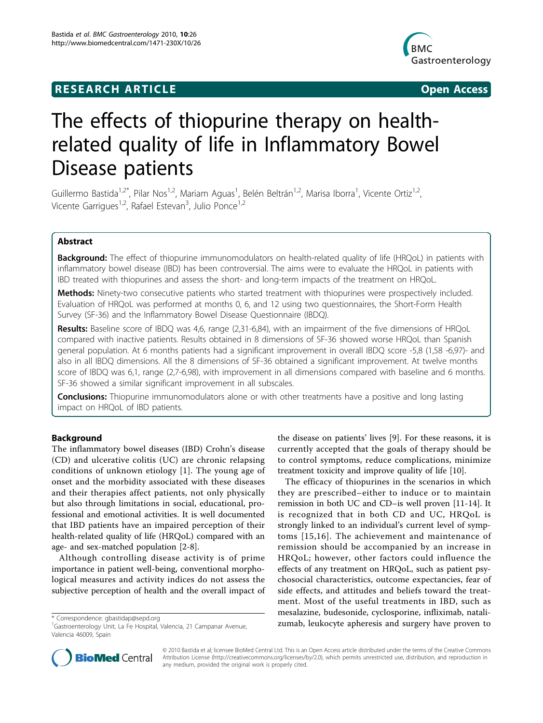## **RESEARCH ARTICLE Example 2008 CONSIDERING ACCESS**



# The effects of thiopurine therapy on healthrelated quality of life in Inflammatory Bowel Disease patients

Guillermo Bastida<sup>1,2\*</sup>, Pilar Nos<sup>1,2</sup>, Mariam Aguas<sup>1</sup>, Belén Beltrán<sup>1,2</sup>, Marisa Iborra<sup>1</sup>, Vicente Ortiz<sup>1,2</sup>, Vicente Garrigues<sup>1,2</sup>, Rafael Estevan<sup>3</sup>, Julio Ponce<sup>1,2</sup>

## Abstract

**Background:** The effect of thiopurine immunomodulators on health-related quality of life (HRQoL) in patients with inflammatory bowel disease (IBD) has been controversial. The aims were to evaluate the HRQoL in patients with IBD treated with thiopurines and assess the short- and long-term impacts of the treatment on HRQoL.

Methods: Ninety-two consecutive patients who started treatment with thiopurines were prospectively included. Evaluation of HRQoL was performed at months 0, 6, and 12 using two questionnaires, the Short-Form Health Survey (SF-36) and the Inflammatory Bowel Disease Questionnaire (IBDQ).

Results: Baseline score of IBDQ was 4,6, range (2,31-6,84), with an impairment of the five dimensions of HRQoL compared with inactive patients. Results obtained in 8 dimensions of SF-36 showed worse HRQoL than Spanish general population. At 6 months patients had a significant improvement in overall IBDQ score -5,8 (1,58 -6,97)- and also in all IBDQ dimensions. All the 8 dimensions of SF-36 obtained a significant improvement. At twelve months score of IBDQ was 6,1, range (2,7-6,98), with improvement in all dimensions compared with baseline and 6 months. SF-36 showed a similar significant improvement in all subscales.

**Conclusions:** Thiopurine immunomodulators alone or with other treatments have a positive and long lasting impact on HRQoL of IBD patients.

## Background

The inflammatory bowel diseases (IBD) Crohn's disease (CD) and ulcerative colitis (UC) are chronic relapsing conditions of unknown etiology [[1\]](#page-7-0). The young age of onset and the morbidity associated with these diseases and their therapies affect patients, not only physically but also through limitations in social, educational, professional and emotional activities. It is well documented that IBD patients have an impaired perception of their health-related quality of life (HRQoL) compared with an age- and sex-matched population [[2-8](#page-7-0)].

Although controlling disease activity is of prime importance in patient well-being, conventional morphological measures and activity indices do not assess the subjective perception of health and the overall impact of

the disease on patients' lives [\[9](#page-7-0)]. For these reasons, it is currently accepted that the goals of therapy should be to control symptoms, reduce complications, minimize treatment toxicity and improve quality of life [[10](#page-7-0)].

The efficacy of thiopurines in the scenarios in which they are prescribed–either to induce or to maintain remission in both UC and CD–is well proven [\[11](#page-7-0)-[14\]](#page-7-0). It is recognized that in both CD and UC, HRQoL is strongly linked to an individual's current level of symptoms [[15,16](#page-7-0)]. The achievement and maintenance of remission should be accompanied by an increase in HRQoL; however, other factors could influence the effects of any treatment on HRQoL, such as patient psychosocial characteristics, outcome expectancies, fear of side effects, and attitudes and beliefs toward the treatment. Most of the useful treatments in IBD, such as mesalazine, budesonide, cyclosporine, infliximab, natali\* Correspondence: [gbastidap@sepd.org](mailto:gbastidap@sepd.org)<br><sup>1</sup>Gastroenterology Unit La Fe Hospital Valencia 21 Campanar Ayenue **2umab, leukocyte apheresis and surgery have proven to** 



© 2010 Bastida et al; licensee BioMed Central Ltd. This is an Open Access article distributed under the terms of the Creative Commons Attribution License [\(http://creativecommons.org/licenses/by/2.0](http://creativecommons.org/licenses/by/2.0)), which permits unrestricted use, distribution, and reproduction in any medium, provided the original work is properly cited.

<sup>&</sup>lt;sup>1</sup>Gastroenterology Unit, La Fe Hospital, Valencia, 21 Campanar Avenue, Valencia 46009, Spain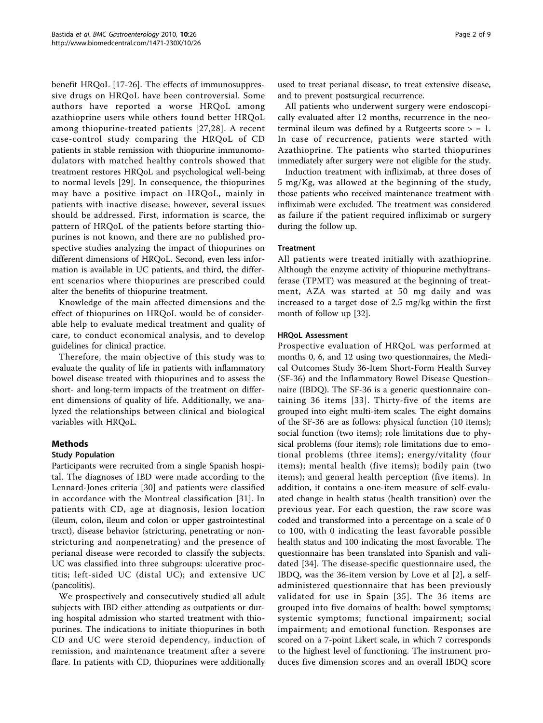benefit HRQoL [[17-](#page-7-0)[26\]](#page-8-0). The effects of immunosuppressive drugs on HRQoL have been controversial. Some authors have reported a worse HRQoL among azathioprine users while others found better HRQoL among thiopurine-treated patients [[27](#page-8-0),[28](#page-8-0)]. A recent case-control study comparing the HRQoL of CD patients in stable remission with thiopurine immunomodulators with matched healthy controls showed that treatment restores HRQoL and psychological well-being to normal levels [[29](#page-8-0)]. In consequence, the thiopurines may have a positive impact on HRQoL, mainly in patients with inactive disease; however, several issues should be addressed. First, information is scarce, the pattern of HRQoL of the patients before starting thiopurines is not known, and there are no published prospective studies analyzing the impact of thiopurines on different dimensions of HRQoL. Second, even less information is available in UC patients, and third, the different scenarios where thiopurines are prescribed could alter the benefits of thiopurine treatment.

Knowledge of the main affected dimensions and the effect of thiopurines on HRQoL would be of considerable help to evaluate medical treatment and quality of care, to conduct economical analysis, and to develop guidelines for clinical practice.

Therefore, the main objective of this study was to evaluate the quality of life in patients with inflammatory bowel disease treated with thiopurines and to assess the short- and long-term impacts of the treatment on different dimensions of quality of life. Additionally, we analyzed the relationships between clinical and biological variables with HRQoL.

## Methods

## Study Population

Participants were recruited from a single Spanish hospital. The diagnoses of IBD were made according to the Lennard-Jones criteria [[30\]](#page-8-0) and patients were classified in accordance with the Montreal classification [\[31\]](#page-8-0). In patients with CD, age at diagnosis, lesion location (ileum, colon, ileum and colon or upper gastrointestinal tract), disease behavior (stricturing, penetrating or nonstricturing and nonpenetrating) and the presence of perianal disease were recorded to classify the subjects. UC was classified into three subgroups: ulcerative proctitis; left-sided UC (distal UC); and extensive UC (pancolitis).

We prospectively and consecutively studied all adult subjects with IBD either attending as outpatients or during hospital admission who started treatment with thiopurines. The indications to initiate thiopurines in both CD and UC were steroid dependency, induction of remission, and maintenance treatment after a severe flare. In patients with CD, thiopurines were additionally

used to treat perianal disease, to treat extensive disease, and to prevent postsurgical recurrence.

All patients who underwent surgery were endoscopically evaluated after 12 months, recurrence in the neoterminal ileum was defined by a Rutgeerts score  $>$  = 1. In case of recurrence, patients were started with Azathioprine. The patients who started thiopurines immediately after surgery were not eligible for the study.

Induction treatment with infliximab, at three doses of 5 mg/Kg, was allowed at the beginning of the study, those patients who received maintenance treatment with infliximab were excluded. The treatment was considered as failure if the patient required infliximab or surgery during the follow up.

#### **Treatment**

All patients were treated initially with azathioprine. Although the enzyme activity of thiopurine methyltransferase (TPMT) was measured at the beginning of treatment, AZA was started at 50 mg daily and was increased to a target dose of 2.5 mg/kg within the first month of follow up [\[32](#page-8-0)].

#### HRQoL Assessment

Prospective evaluation of HRQoL was performed at months 0, 6, and 12 using two questionnaires, the Medical Outcomes Study 36-Item Short-Form Health Survey (SF-36) and the Inflammatory Bowel Disease Questionnaire (IBDQ). The SF-36 is a generic questionnaire containing 36 items [[33\]](#page-8-0). Thirty-five of the items are grouped into eight multi-item scales. The eight domains of the SF-36 are as follows: physical function (10 items); social function (two items); role limitations due to physical problems (four items); role limitations due to emotional problems (three items); energy/vitality (four items); mental health (five items); bodily pain (two items); and general health perception (five items). In addition, it contains a one-item measure of self-evaluated change in health status (health transition) over the previous year. For each question, the raw score was coded and transformed into a percentage on a scale of 0 to 100, with 0 indicating the least favorable possible health status and 100 indicating the most favorable. The questionnaire has been translated into Spanish and validated [\[34](#page-8-0)]. The disease-specific questionnaire used, the IBDQ, was the 36-item version by Love et al [\[2](#page-7-0)], a selfadministered questionnaire that has been previously validated for use in Spain [[35](#page-8-0)]. The 36 items are grouped into five domains of health: bowel symptoms; systemic symptoms; functional impairment; social impairment; and emotional function. Responses are scored on a 7-point Likert scale, in which 7 corresponds to the highest level of functioning. The instrument produces five dimension scores and an overall IBDQ score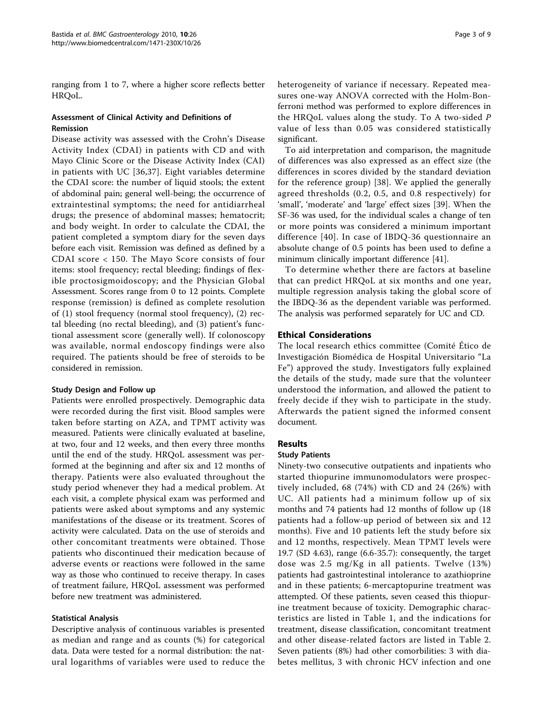ranging from 1 to 7, where a higher score reflects better HRQoL.

#### Assessment of Clinical Activity and Definitions of Remission

Disease activity was assessed with the Crohn's Disease Activity Index (CDAI) in patients with CD and with Mayo Clinic Score or the Disease Activity Index (CAI) in patients with UC [[36](#page-8-0),[37\]](#page-8-0). Eight variables determine the CDAI score: the number of liquid stools; the extent of abdominal pain; general well-being; the occurrence of extraintestinal symptoms; the need for antidiarrheal drugs; the presence of abdominal masses; hematocrit; and body weight. In order to calculate the CDAI, the patient completed a symptom diary for the seven days before each visit. Remission was defined as defined by a CDAI score < 150. The Mayo Score consists of four items: stool frequency; rectal bleeding; findings of flexible proctosigmoidoscopy; and the Physician Global Assessment. Scores range from 0 to 12 points. Complete response (remission) is defined as complete resolution of (1) stool frequency (normal stool frequency), (2) rectal bleeding (no rectal bleeding), and (3) patient's functional assessment score (generally well). If colonoscopy was available, normal endoscopy findings were also required. The patients should be free of steroids to be considered in remission.

## Study Design and Follow up

Patients were enrolled prospectively. Demographic data were recorded during the first visit. Blood samples were taken before starting on AZA, and TPMT activity was measured. Patients were clinically evaluated at baseline, at two, four and 12 weeks, and then every three months until the end of the study. HRQoL assessment was performed at the beginning and after six and 12 months of therapy. Patients were also evaluated throughout the study period whenever they had a medical problem. At each visit, a complete physical exam was performed and patients were asked about symptoms and any systemic manifestations of the disease or its treatment. Scores of activity were calculated. Data on the use of steroids and other concomitant treatments were obtained. Those patients who discontinued their medication because of adverse events or reactions were followed in the same way as those who continued to receive therapy. In cases of treatment failure, HRQoL assessment was performed before new treatment was administered.

## Statistical Analysis

Descriptive analysis of continuous variables is presented as median and range and as counts (%) for categorical data. Data were tested for a normal distribution: the natural logarithms of variables were used to reduce the heterogeneity of variance if necessary. Repeated measures one-way ANOVA corrected with the Holm-Bonferroni method was performed to explore differences in the HRQoL values along the study. To A two-sided P value of less than 0.05 was considered statistically significant.

To aid interpretation and comparison, the magnitude of differences was also expressed as an effect size (the differences in scores divided by the standard deviation for the reference group) [[38\]](#page-8-0). We applied the generally agreed thresholds (0.2, 0.5, and 0.8 respectively) for 'small', 'moderate' and 'large' effect sizes [[39](#page-8-0)]. When the SF-36 was used, for the individual scales a change of ten or more points was considered a minimum important difference [[40\]](#page-8-0). In case of IBDQ-36 questionnaire an absolute change of 0.5 points has been used to define a minimum clinically important difference [\[41](#page-8-0)].

To determine whether there are factors at baseline that can predict HRQoL at six months and one year, multiple regression analysis taking the global score of the IBDQ-36 as the dependent variable was performed. The analysis was performed separately for UC and CD.

## Ethical Considerations

The local research ethics committee (Comité Ético de Investigación Biomédica de Hospital Universitario "La Fe") approved the study. Investigators fully explained the details of the study, made sure that the volunteer understood the information, and allowed the patient to freely decide if they wish to participate in the study. Afterwards the patient signed the informed consent document.

## Results

#### Study Patients

Ninety-two consecutive outpatients and inpatients who started thiopurine immunomodulators were prospectively included, 68 (74%) with CD and 24 (26%) with UC. All patients had a minimum follow up of six months and 74 patients had 12 months of follow up (18 patients had a follow-up period of between six and 12 months). Five and 10 patients left the study before six and 12 months, respectively. Mean TPMT levels were 19.7 (SD 4.63), range (6.6-35.7): consequently, the target dose was 2.5 mg/Kg in all patients. Twelve (13%) patients had gastrointestinal intolerance to azathioprine and in these patients; 6-mercaptopurine treatment was attempted. Of these patients, seven ceased this thiopurine treatment because of toxicity. Demographic characteristics are listed in Table [1](#page-3-0), and the indications for treatment, disease classification, concomitant treatment and other disease-related factors are listed in Table [2](#page-3-0). Seven patients (8%) had other comorbilities: 3 with diabetes mellitus, 3 with chronic HCV infection and one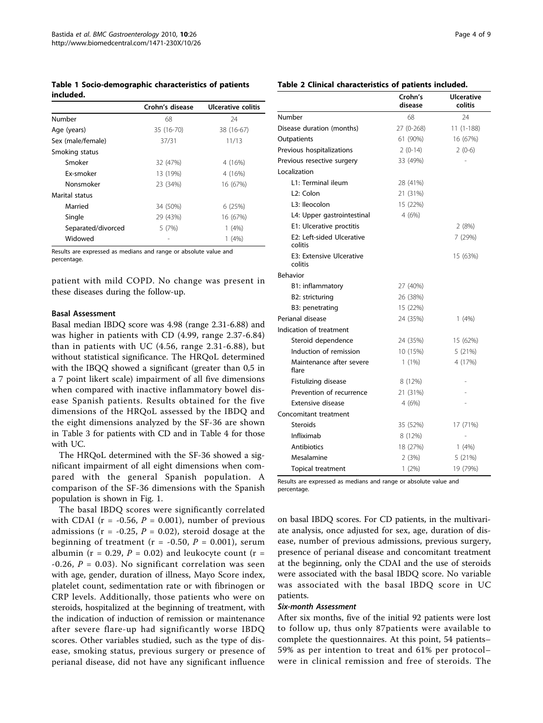<span id="page-3-0"></span>Table 1 Socio-demographic characteristics of patients included.

|                    | Crohn's disease | <b>Ulcerative colitis</b> |
|--------------------|-----------------|---------------------------|
| Number             | 68              | 24                        |
| Age (years)        | 35 (16-70)      | 38 (16-67)                |
| Sex (male/female)  | 37/31           | 11/13                     |
| Smoking status     |                 |                           |
| Smoker             | 32 (47%)        | 4 (16%)                   |
| Fx-smoker          | 13 (19%)        | 4 (16%)                   |
| Nonsmoker          | 23 (34%)        | 16 (67%)                  |
| Marital status     |                 |                           |
| Married            | 34 (50%)        | 6 (25%)                   |
| Single             | 29 (43%)        | 16 (67%)                  |
| Separated/divorced | 5(7%)           | 1(4%)                     |
| Widowed            |                 | 1 (4%)                    |

Results are expressed as medians and range or absolute value and percentage.

patient with mild COPD. No change was present in these diseases during the follow-up.

#### Basal Assessment

Basal median IBDQ score was 4.98 (range 2.31-6.88) and was higher in patients with CD (4.99, range 2.37-6.84) than in patients with UC (4.56, range 2.31-6.88), but without statistical significance. The HRQoL determined with the IBQQ showed a significant (greater than 0,5 in a 7 point likert scale) impairment of all five dimensions when compared with inactive inflammatory bowel disease Spanish patients. Results obtained for the five dimensions of the HRQoL assessed by the IBDQ and the eight dimensions analyzed by the SF-36 are shown in Table [3](#page-4-0) for patients with CD and in Table [4](#page-4-0) for those with UC.

The HRQoL determined with the SF-36 showed a significant impairment of all eight dimensions when compared with the general Spanish population. A comparison of the SF-36 dimensions with the Spanish population is shown in Fig. [1.](#page-5-0)

The basal IBDQ scores were significantly correlated with CDAI ( $r = -0.56$ ,  $P = 0.001$ ), number of previous admissions ( $r = -0.25$ ,  $P = 0.02$ ), steroid dosage at the beginning of treatment ( $r = -0.50$ ,  $P = 0.001$ ), serum albumin ( $r = 0.29$ ,  $P = 0.02$ ) and leukocyte count ( $r =$ -0.26,  $P = 0.03$ ). No significant correlation was seen with age, gender, duration of illness, Mayo Score index, platelet count, sedimentation rate or with fibrinogen or CRP levels. Additionally, those patients who were on steroids, hospitalized at the beginning of treatment, with the indication of induction of remission or maintenance after severe flare-up had significantly worse IBDQ scores. Other variables studied, such as the type of disease, smoking status, previous surgery or presence of perianal disease, did not have any significant influence

## Page 4 of 9

#### Table 2 Clinical characteristics of patients included.

|                                            | Crohn's<br>disease | <b>Ulcerative</b><br>colitis |
|--------------------------------------------|--------------------|------------------------------|
| Number                                     | 68                 | 24                           |
| Disease duration (months)                  | 27 (0-268)         | $11(1-188)$                  |
| Outpatients                                | 61 (90%)           | 16 (67%)                     |
| Previous hospitalizations                  | $2(0-14)$          | $2(0-6)$                     |
| Previous resective surgery                 | 33 (49%)           |                              |
| Localization                               |                    |                              |
| L1: Terminal ileum                         | 28 (41%)           |                              |
| L <sub>2</sub> : Colon                     | 21 (31%)           |                              |
| L3: Ileocolon                              | 15 (22%)           |                              |
| L4: Upper gastrointestinal                 | 4(6%)              |                              |
| E1: Ulcerative proctitis                   |                    | 2(8%)                        |
| E2: Left-sided Ulcerative<br>colitis       |                    | 7 (29%)                      |
| <b>E3: Extensive Ulcerative</b><br>colitis |                    | 15 (63%)                     |
| <b>Behavior</b>                            |                    |                              |
| B1: inflammatory                           | 27 (40%)           |                              |
| B2: stricturing                            | 26 (38%)           |                              |
| B3: penetrating                            | 15 (22%)           |                              |
| Perianal disease                           | 24 (35%)           | 1(4%)                        |
| Indication of treatment                    |                    |                              |
| Steroid dependence                         | 24 (35%)           | 15 (62%)                     |
| Induction of remission                     | 10 (15%)           | 5(21%)                       |
| Maintenance after severe<br>flare          | $1(1\%)$           | 4 (17%)                      |
| Fistulizing disease                        | 8 (12%)            |                              |
| Prevention of recurrence                   | 21 (31%)           |                              |
| Extensive disease                          | 4(6%)              |                              |
| Concomitant treatment                      |                    |                              |
| <b>Steroids</b>                            | 35 (52%)           | 17 (71%)                     |
| Infliximab                                 | 8 (12%)            |                              |
| Antibiotics                                | 18 (27%)           | 1(4%)                        |
| Mesalamine                                 | 2(3%)              | 5 (21%)                      |
| Topical treatment                          | $1(2\%)$           | 19 (79%)                     |

Results are expressed as medians and range or absolute value and percentage.

on basal IBDQ scores. For CD patients, in the multivariate analysis, once adjusted for sex, age, duration of disease, number of previous admissions, previous surgery, presence of perianal disease and concomitant treatment at the beginning, only the CDAI and the use of steroids were associated with the basal IBDQ score. No variable was associated with the basal IBDQ score in UC patients.

#### Six-month Assessment

After six months, five of the initial 92 patients were lost to follow up, thus only 87patients were available to complete the questionnaires. At this point, 54 patients– 59% as per intention to treat and 61% per protocol– were in clinical remission and free of steroids. The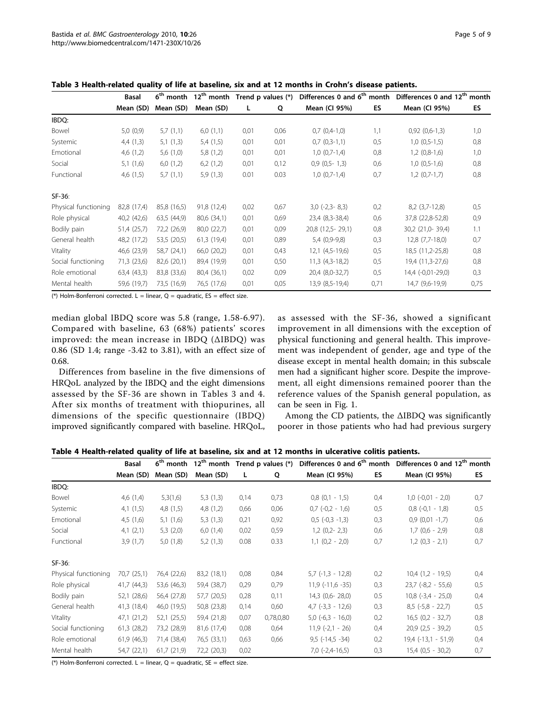<span id="page-4-0"></span>Table 3 Health-related quality of life at baseline, six and at 12 months in Crohn's disease patients.

|                      | <b>Basal</b> | 6 <sup>th</sup> month |             | $12^{th}$ month Trend p values (*) |      | Differences 0 and 6 <sup>th</sup> month |      | Differences 0 and 12 <sup>th</sup> month |      |
|----------------------|--------------|-----------------------|-------------|------------------------------------|------|-----------------------------------------|------|------------------------------------------|------|
|                      | Mean (SD)    | Mean (SD)             | Mean (SD)   | L                                  | Q    | Mean (CI 95%)                           | ES   | Mean (CI 95%)                            | ES   |
| IBDQ:                |              |                       |             |                                    |      |                                         |      |                                          |      |
| Bowel                | 5,0(0,9)     | 5,7(1,1)              | 6,0(1,1)    | 0,01                               | 0,06 | $0.7(0.4-1.0)$                          | 1,1  | $0,92(0,6-1,3)$                          | 1,0  |
| Systemic             | 4,4(1,3)     | 5,1(1,3)              | 5,4(1,5)    | 0,01                               | 0,01 | $0,7(0,3-1,1)$                          | 0,5  | $1,0(0,5-1,5)$                           | 0,8  |
| Emotional            | 4,6(1,2)     | 5,6(1,0)              | 5,8(1,2)    | 0,01                               | 0,01 | $1,0(0,7-1,4)$                          | 0,8  | $1,2(0,8-1,6)$                           | 1,0  |
| Social               | 5,1(1,6)     | 6,0(1,2)              | 6,2(1,2)    | 0,01                               | 0,12 | $0,9$ $(0,5-1,3)$                       | 0,6  | $1,0(0,5-1,6)$                           | 0,8  |
| Functional           | 4,6(1,5)     | 5,7(1,1)              | 5,9(1,3)    | 0.01                               | 0.03 | $1,0(0,7-1,4)$                          | 0,7  | $1,2(0,7-1,7)$                           | 0,8  |
| SF-36:               |              |                       |             |                                    |      |                                         |      |                                          |      |
| Physical functioning | 82,8 (17,4)  | 85,8 (16,5)           | 91,8 (12,4) | 0,02                               | 0,67 | $3,0$ (-2,3-8,3)                        | 0,2  | $8,2(3,7-12,8)$                          | 0,5  |
| Role physical        | 40,2 (42,6)  | 63,5 (44,9)           | 80,6 (34,1) | 0,01                               | 0,69 | 23,4 (8,3-38,4)                         | 0,6  | 37,8 (22,8-52,8)                         | 0,9  |
| Bodily pain          | 51,4 (25,7)  | 72,2 (26,9)           | 80,0 (22,7) | 0,01                               | 0,09 | 20,8 (12,5 - 29,1)                      | 0,8  | 30,2 (21,0-39,4)                         | 1.1  |
| General health       | 48,2 (17,2)  | 53,5 (20,5)           | 61,3 (19,4) | 0,01                               | 0,89 | 5,4 (0,9-9,8)                           | 0,3  | 12,8 (7,7-18,0)                          | 0,7  |
| Vitality             | 46,6 (23,9)  | 58,7 (24,1)           | 66,0 (20,2) | 0,01                               | 0,43 | $12,1(4,5-19,6)$                        | 0,5  | 18,5 (11,2-25,8)                         | 0,8  |
| Social functioning   | 71,3(23,6)   | 82,6 (20,1)           | 89,4 (19,9) | 0,01                               | 0,50 | $11,3(4,3-18,2)$                        | 0,5  | 19,4 (11,3-27,6)                         | 0,8  |
| Role emotional       | 63,4 (43,3)  | 83,8 (33,6)           | 80,4 (36,1) | 0,02                               | 0,09 | 20,4 (8,0-32,7)                         | 0,5  | 14,4 (-0,01-29,0)                        | 0,3  |
| Mental health        | 59,6 (19,7)  | 73,5 (16,9)           | 76,5 (17,6) | 0,01                               | 0,05 | 13,9 (8,5-19,4)                         | 0,71 | 14,7 (9,6-19,9)                          | 0,75 |

(\*) Holm-Bonferroni corrected. L = linear, Q = quadratic, ES = effect size.

median global IBDQ score was 5.8 (range, 1.58-6.97). Compared with baseline, 63 (68%) patients' scores improved: the mean increase in IBDQ (ΔIBDQ) was 0.86 (SD 1.4; range -3.42 to 3.81), with an effect size of 0.68.

Differences from baseline in the five dimensions of HRQoL analyzed by the IBDQ and the eight dimensions assessed by the SF-36 are shown in Tables 3 and 4. After six months of treatment with thiopurines, all dimensions of the specific questionnaire (IBDQ) improved significantly compared with baseline. HRQoL,

as assessed with the SF-36, showed a significant improvement in all dimensions with the exception of physical functioning and general health. This improvement was independent of gender, age and type of the disease except in mental health domain; in this subscale men had a significant higher score. Despite the improvement, all eight dimensions remained poorer than the reference values of the Spanish general population, as can be seen in Fig. [1.](#page-5-0)

Among the CD patients, the ΔIBDQ was significantly poorer in those patients who had had previous surgery

|  |  |  | Table 4 Health-related quality of life at baseline, six and at 12 months in ulcerative colitis patients. |  |
|--|--|--|----------------------------------------------------------------------------------------------------------|--|
|--|--|--|----------------------------------------------------------------------------------------------------------|--|

|                      | Basal       | 6 <sup>th</sup> month | 12 <sup>th</sup> month Trend p values $(*)$ |      |           | Differences 0 and 6 <sup>th</sup> month |     | Differences 0 and 12 <sup>th</sup> month |     |
|----------------------|-------------|-----------------------|---------------------------------------------|------|-----------|-----------------------------------------|-----|------------------------------------------|-----|
|                      | Mean (SD)   | Mean (SD)             | Mean (SD)                                   | L    | Q         | Mean (CI 95%)                           | ES  | Mean (CI 95%)                            | ES  |
| IBDQ:                |             |                       |                                             |      |           |                                         |     |                                          |     |
| Bowel                | 4,6(1,4)    | 5,3(1,6)              | 5,3(1,3)                                    | 0,14 | 0,73      | $0,8$ $(0,1 - 1,5)$                     | 0,4 | $1,0$ (-0,01 - 2,0)                      | 0,7 |
| Systemic             | 4,1(1,5)    | 4,8(1,5)              | 4,8(1,2)                                    | 0,66 | 0,06      | $0.7$ (-0.2 - 1.6)                      | 0,5 | $0.8$ (-0.1 - 1.8)                       | 0,5 |
| Emotional            | 4,5(1,6)    | 5,1(1,6)              | 5,3(1,3)                                    | 0,21 | 0,92      | $0,5(-0,3-1,3)$                         | 0,3 | $0,9$ $(0,01 -1,7)$                      | 0,6 |
| Social               | 4,1(2,1)    | 5,3(2,0)              | 6,0(1,4)                                    | 0,02 | 0,59      | $1,2$ (0,2- 2,3)                        | 0,6 | $1,7$ (0,6 - 2,9)                        | 0,8 |
| Functional           | 3,9(1,7)    | 5,0(1,8)              | 5,2(1,3)                                    | 0.08 | 0.33      | $1,1(0,2 - 2,0)$                        | 0,7 | $1,2(0,3 - 2,1)$                         | 0,7 |
| SF-36:               |             |                       |                                             |      |           |                                         |     |                                          |     |
| Physical functioning | 70,7 (25,1) | 76,4 (22,6)           | 83,2 (18,1)                                 | 0,08 | 0,84      | $5,7$ (-1,3 - 12,8)                     | 0,2 | $10,4(1,2 - 19,5)$                       | 0,4 |
| Role physical        | 41,7(44,3)  | 53,6 (46,3)           | 59,4 (38,7)                                 | 0,29 | 0,79      | $11,9$ (-11,6 -35)                      | 0,3 | $23,7$ (-8,2 - 55,6)                     | 0,5 |
| Bodily pain          | 52,1(28,6)  | 56,4 (27,8)           | 57,7 (20,5)                                 | 0,28 | 0,11      | $14,3(0,6-28,0)$                        | 0.5 | $10,8$ (-3,4 - 25,0)                     | 0,4 |
| General health       | 41,3 (18,4) | 46,0 (19,5)           | 50,8 (23,8)                                 | 0,14 | 0,60      | $4,7$ (-3,3 - 12,6)                     | 0,3 | $8,5$ (-5,8 - 22,7)                      | 0,5 |
| Vitality             | 47,1(21,2)  | 52,1(25,5)            | 59,4 (21,8)                                 | 0,07 | 0,78,0,80 | $5,0$ (-6,3 - 16,0)                     | 0,2 | $16,5(0,2 - 32,7)$                       | 0,8 |
| Social functioning   | 61,3(28,2)  | 73,2 (28,9)           | 81,6 (17,4)                                 | 0,08 | 0,64      | $11,9(-2,1 - 26)$                       | 0,4 | $20,9(2,5 - 39,2)$                       | 0,5 |
| Role emotional       | 61,9(46,3)  | 71,4 (38,4)           | 76,5 (33,1)                                 | 0,63 | 0,66      | $9,5$ ( $-14,5 -34$ )                   | 0,2 | 19,4 (-13,1 - 51,9)                      | 0,4 |
| Mental health        | 54,7 (22,1) | 61,7(21,9)            | 72,2 (20,3)                                 | 0,02 |           | $7,0$ (-2,4-16,5)                       | 0,3 | $15,4$ (0,5 - 30,2)                      | 0,7 |

(\*) Holm-Bonferroni corrected. L = linear, Q = quadratic, SE = effect size.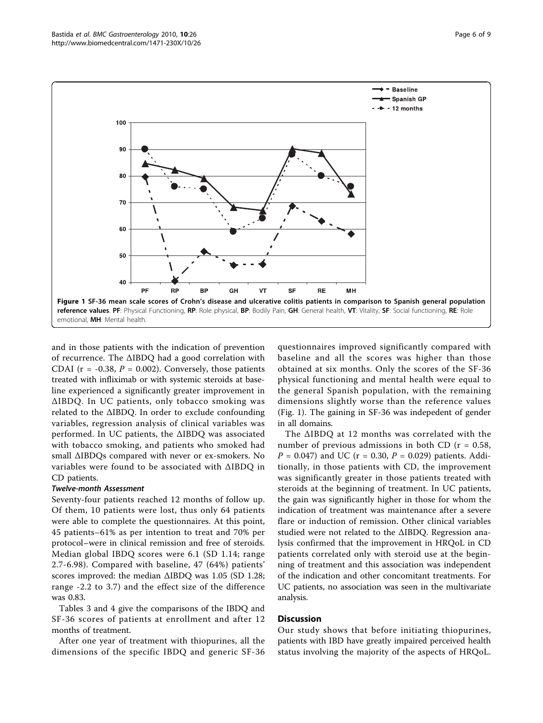<span id="page-5-0"></span>

and in those patients with the indication of prevention of recurrence. The ΔIBDQ had a good correlation with CDAI ( $r = -0.38$ ,  $P = 0.002$ ). Conversely, those patients treated with infliximab or with systemic steroids at baseline experienced a significantly greater improvement in ΔIBDQ. In UC patients, only tobacco smoking was related to the ΔIBDQ. In order to exclude confounding variables, regression analysis of clinical variables was performed. In UC patients, the ΔIBDQ was associated with tobacco smoking, and patients who smoked had small ΔIBDQs compared with never or ex-smokers. No variables were found to be associated with ΔIBDQ in CD patients.

#### Twelve-month Assessment

Seventy-four patients reached 12 months of follow up. Of them, 10 patients were lost, thus only 64 patients were able to complete the questionnaires. At this point, 45 patients–61% as per intention to treat and 70% per protocol–were in clinical remission and free of steroids. Median global IBDQ scores were 6.1 (SD 1.14; range 2.7-6.98). Compared with baseline, 47 (64%) patients' scores improved: the median ΔIBDQ was 1.05 (SD 1.28; range -2.2 to 3.7) and the effect size of the difference was 0.83.

Tables [3](#page-4-0) and [4](#page-4-0) give the comparisons of the IBDQ and SF-36 scores of patients at enrollment and after 12 months of treatment.

After one year of treatment with thiopurines, all the dimensions of the specific IBDQ and generic SF-36 questionnaires improved significantly compared with baseline and all the scores was higher than those obtained at six months. Only the scores of the SF-36 physical functioning and mental health were equal to the general Spanish population, with the remaining dimensions slightly worse than the reference values (Fig. 1). The gaining in SF-36 was indepedent of gender in all domains.

The ΔIBDQ at 12 months was correlated with the number of previous admissions in both CD  $(r = 0.58)$ ,  $P = 0.047$ ) and UC (r = 0.30,  $P = 0.029$ ) patients. Additionally, in those patients with CD, the improvement was significantly greater in those patients treated with steroids at the beginning of treatment. In UC patients, the gain was significantly higher in those for whom the indication of treatment was maintenance after a severe flare or induction of remission. Other clinical variables studied were not related to the ΔIBDQ. Regression analysis confirmed that the improvement in HRQoL in CD patients correlated only with steroid use at the beginning of treatment and this association was independent of the indication and other concomitant treatments. For UC patients, no association was seen in the multivariate analysis.

## **Discussion**

Our study shows that before initiating thiopurines, patients with IBD have greatly impaired perceived health status involving the majority of the aspects of HRQoL.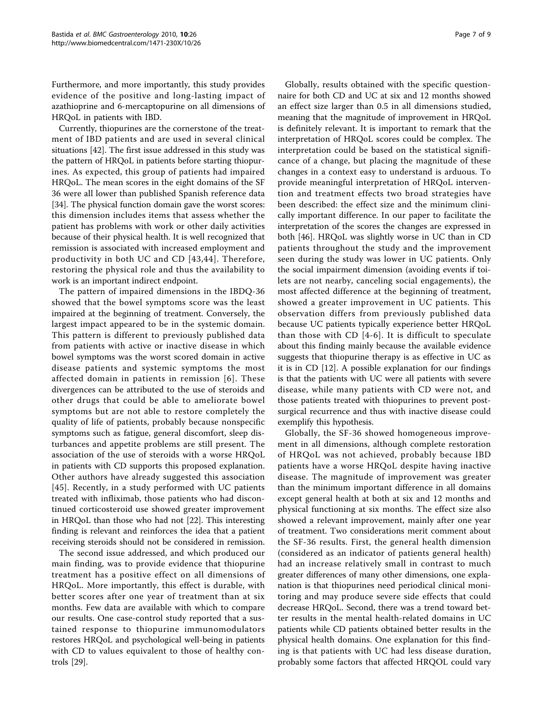Furthermore, and more importantly, this study provides evidence of the positive and long-lasting impact of azathioprine and 6-mercaptopurine on all dimensions of HRQoL in patients with IBD.

Currently, thiopurines are the cornerstone of the treatment of IBD patients and are used in several clinical situations [[42\]](#page-8-0). The first issue addressed in this study was the pattern of HRQoL in patients before starting thiopurines. As expected, this group of patients had impaired HRQoL. The mean scores in the eight domains of the SF 36 were all lower than published Spanish reference data [[34\]](#page-8-0). The physical function domain gave the worst scores: this dimension includes items that assess whether the patient has problems with work or other daily activities because of their physical health. It is well recognized that remission is associated with increased employment and productivity in both UC and CD [[43,44](#page-8-0)]. Therefore, restoring the physical role and thus the availability to work is an important indirect endpoint.

The pattern of impaired dimensions in the IBDQ-36 showed that the bowel symptoms score was the least impaired at the beginning of treatment. Conversely, the largest impact appeared to be in the systemic domain. This pattern is different to previously published data from patients with active or inactive disease in which bowel symptoms was the worst scored domain in active disease patients and systemic symptoms the most affected domain in patients in remission [[6](#page-7-0)]. These divergences can be attributed to the use of steroids and other drugs that could be able to ameliorate bowel symptoms but are not able to restore completely the quality of life of patients, probably because nonspecific symptoms such as fatigue, general discomfort, sleep disturbances and appetite problems are still present. The association of the use of steroids with a worse HRQoL in patients with CD supports this proposed explanation. Other authors have already suggested this association [[45](#page-8-0)]. Recently, in a study performed with UC patients treated with infliximab, those patients who had discontinued corticosteroid use showed greater improvement in HRQoL than those who had not [[22\]](#page-8-0). This interesting finding is relevant and reinforces the idea that a patient receiving steroids should not be considered in remission.

The second issue addressed, and which produced our main finding, was to provide evidence that thiopurine treatment has a positive effect on all dimensions of HRQoL. More importantly, this effect is durable, with better scores after one year of treatment than at six months. Few data are available with which to compare our results. One case-control study reported that a sustained response to thiopurine immunomodulators restores HRQoL and psychological well-being in patients with CD to values equivalent to those of healthy controls [\[29](#page-8-0)].

Globally, results obtained with the specific questionnaire for both CD and UC at six and 12 months showed an effect size larger than 0.5 in all dimensions studied, meaning that the magnitude of improvement in HRQoL is definitely relevant. It is important to remark that the interpretation of HRQoL scores could be complex. The interpretation could be based on the statistical significance of a change, but placing the magnitude of these changes in a context easy to understand is arduous. To provide meaningful interpretation of HRQoL intervention and treatment effects two broad strategies have been described: the effect size and the minimum clinically important difference. In our paper to facilitate the interpretation of the scores the changes are expressed in both [\[46](#page-8-0)]. HRQoL was slightly worse in UC than in CD patients throughout the study and the improvement seen during the study was lower in UC patients. Only the social impairment dimension (avoiding events if toilets are not nearby, canceling social engagements), the most affected difference at the beginning of treatment, showed a greater improvement in UC patients. This observation differs from previously published data because UC patients typically experience better HRQoL than those with CD [\[4-6](#page-7-0)]. It is difficult to speculate about this finding mainly because the available evidence suggests that thiopurine therapy is as effective in UC as it is in CD [[12\]](#page-7-0). A possible explanation for our findings is that the patients with UC were all patients with severe disease, while many patients with CD were not, and those patients treated with thiopurines to prevent postsurgical recurrence and thus with inactive disease could exemplify this hypothesis.

Globally, the SF-36 showed homogeneous improvement in all dimensions, although complete restoration of HRQoL was not achieved, probably because IBD patients have a worse HRQoL despite having inactive disease. The magnitude of improvement was greater than the minimum important difference in all domains except general health at both at six and 12 months and physical functioning at six months. The effect size also showed a relevant improvement, mainly after one year of treatment. Two considerations merit comment about the SF-36 results. First, the general health dimension (considered as an indicator of patients general health) had an increase relatively small in contrast to much greater differences of many other dimensions, one explanation is that thiopurines need periodical clinical monitoring and may produce severe side effects that could decrease HRQoL. Second, there was a trend toward better results in the mental health-related domains in UC patients while CD patients obtained better results in the physical health domains. One explanation for this finding is that patients with UC had less disease duration, probably some factors that affected HRQOL could vary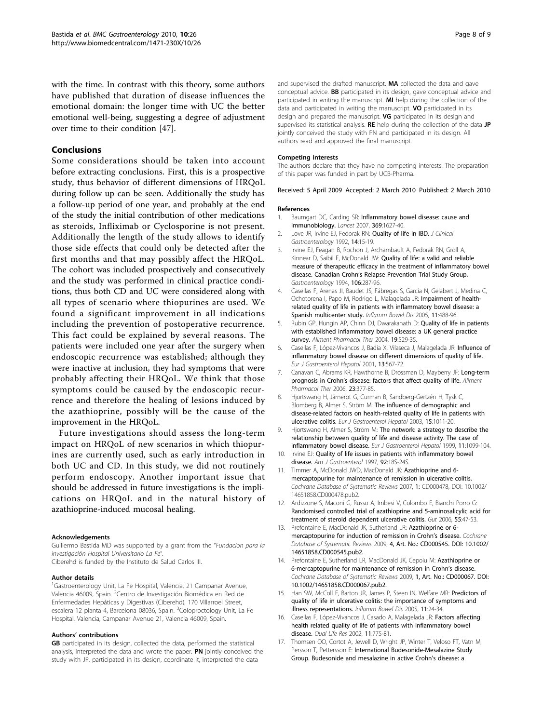<span id="page-7-0"></span>with the time. In contrast with this theory, some authors have published that duration of disease influences the emotional domain: the longer time with UC the better emotional well-being, suggesting a degree of adjustment over time to their condition [[47\]](#page-8-0).

#### Conclusions

Some considerations should be taken into account before extracting conclusions. First, this is a prospective study, thus behavior of different dimensions of HRQoL during follow up can be seen. Additionally the study has a follow-up period of one year, and probably at the end of the study the initial contribution of other medications as steroids, Infliximab or Cyclosporine is not present. Additionally the length of the study allows to identify those side effects that could only be detected after the first months and that may possibly affect the HRQoL. The cohort was included prospectively and consecutively and the study was performed in clinical practice conditions, thus both CD and UC were considered along with all types of scenario where thiopurines are used. We found a significant improvement in all indications including the prevention of postoperative recurrence. This fact could be explained by several reasons. The patients were included one year after the surgery when endoscopic recurrence was established; although they were inactive at inclusion, they had symptoms that were probably affecting their HRQoL. We think that those symptoms could be caused by the endoscopic recurrence and therefore the healing of lesions induced by the azathioprine, possibly will be the cause of the improvement in the HRQoL.

Future investigations should assess the long-term impact on HRQoL of new scenarios in which thiopurines are currently used, such as early introduction in both UC and CD. In this study, we did not routinely perform endoscopy. Another important issue that should be addressed in future investigations is the implications on HRQoL and in the natural history of azathioprine-induced mucosal healing.

#### Acknowledgements

Guillermo Bastida MD was supported by a grant from the "Fundacion para la investigación Hospital Universitario La Fe". Ciberehd is funded by the Instituto de Salud Carlos III.

#### Author details

<sup>1</sup>Gastroenterology Unit, La Fe Hospital, Valencia, 21 Campanar Avenue, Valencia 46009, Spain. <sup>2</sup>Centro de Investigación Biomédica en Red de Enfermedades Hepáticas y Digestivas (Ciberehd), 170 Villarroel Street, escalera 12 planta 4, Barcelona 08036, Spain. <sup>3</sup>Coloproctology Unit, La Fe Hospital, Valencia, Campanar Avenue 21, Valencia 46009, Spain.

#### Authors' contributions

GB participated in its design, collected the data, performed the statistical analysis, interpreted the data and wrote the paper. PN jointly conceived the study with JP, participated in its design, coordinate it, interpreted the data

and supervised the drafted manuscript. MA collected the data and gave conceptual advice. BB participated in its design, gave conceptual advice and participated in writing the manuscript. MI help during the collection of the data and participated in writing the manuscript. VO participated in its design and prepared the manuscript. VG participated in its design and supervised its statistical analysis. RE help during the collection of the data JP jointly conceived the study with PN and participated in its design. All authors read and approved the final manuscript.

#### Competing interests

The authors declare that they have no competing interests. The preparation of this paper was funded in part by UCB-Pharma.

Received: 5 April 2009 Accepted: 2 March 2010 Published: 2 March 2010

#### References

- 1. Baumgart DC, Carding SR: [Inflammatory bowel disease: cause and](http://www.ncbi.nlm.nih.gov/pubmed/17499605?dopt=Abstract) [immunobiology.](http://www.ncbi.nlm.nih.gov/pubmed/17499605?dopt=Abstract) Lancet 2007, 369:1627-40.
- 2. Love JR, Irvine EJ, Fedorak RN: Quality of life in IBD. J Clinical Gastroenterology 1992, 14:15-19.
- 3. Irvine EJ, Feagan B, Rochon J, Archambault A, Fedorak RN, Groll A, Kinnear D, Saibil F, McDonald JW: [Quality of life: a valid and reliable](http://www.ncbi.nlm.nih.gov/pubmed/8299896?dopt=Abstract) [measure of therapeutic efficacy in the treatment of inflammatory bowel](http://www.ncbi.nlm.nih.gov/pubmed/8299896?dopt=Abstract) disease. Canadian Crohn'[s Relapse Prevention Trial Study Group.](http://www.ncbi.nlm.nih.gov/pubmed/8299896?dopt=Abstract) Gastroenterology 1994, 106:287-96.
- 4. Casellas F, Arenas JI, Baudet JS, Fábregas S, García N, Gelabert J, Medina C, Ochotorena I, Papo M, Rodrigo L, Malagelada JR: [Impairment of health](http://www.ncbi.nlm.nih.gov/pubmed/15867589?dopt=Abstract)[related quality of life in patients with inflammatory bowel disease: a](http://www.ncbi.nlm.nih.gov/pubmed/15867589?dopt=Abstract) [Spanish multicenter study.](http://www.ncbi.nlm.nih.gov/pubmed/15867589?dopt=Abstract) Inflamm Bowel Dis 2005, 11:488-96.
- 5. Rubin GP, Hungin AP, Chinn DJ, Dwarakanath D: [Quality of life in patients](http://www.ncbi.nlm.nih.gov/pubmed/14987321?dopt=Abstract) [with established inflammatory bowel disease: a UK general practice](http://www.ncbi.nlm.nih.gov/pubmed/14987321?dopt=Abstract) [survey.](http://www.ncbi.nlm.nih.gov/pubmed/14987321?dopt=Abstract) Aliment Pharmacol Ther 2004, 19:529-35.
- 6. Casellas F, López-Vivancos J, Badia X, Vilaseca J, Malagelada JR: [Influence of](http://www.ncbi.nlm.nih.gov/pubmed/11396538?dopt=Abstract) [inflammatory bowel disease on different dimensions of quality of life.](http://www.ncbi.nlm.nih.gov/pubmed/11396538?dopt=Abstract) Eur J Gastroenterol Hepatol 2001, 13:567-72.
- 7. Canavan C, Abrams KR, Hawthorne B, Drossman D, Mayberry JF: [Long-term](http://www.ncbi.nlm.nih.gov/pubmed/16422997?dopt=Abstract) prognosis in Crohn'[s disease: factors that affect quality of life.](http://www.ncbi.nlm.nih.gov/pubmed/16422997?dopt=Abstract) Aliment Pharmacol Ther 2006, 23:377-85.
- 8. Hjortswang H, Järnerot G, Curman B, Sandberg-Gertzén H, Tysk C, Blomberg B, Almer S, Ström M: [The influence of demographic and](http://www.ncbi.nlm.nih.gov/pubmed/12923375?dopt=Abstract) [disease-related factors on health-related quality of life in patients with](http://www.ncbi.nlm.nih.gov/pubmed/12923375?dopt=Abstract) [ulcerative colitis.](http://www.ncbi.nlm.nih.gov/pubmed/12923375?dopt=Abstract) Eur J Gastroenterol Hepatol 2003, 15:1011-20.
- 9. Hjortswang H, Almer S, Ström M: [The network: a strategy to describe the](http://www.ncbi.nlm.nih.gov/pubmed/10524638?dopt=Abstract) [relationship between quality of life and disease activity. The case of](http://www.ncbi.nlm.nih.gov/pubmed/10524638?dopt=Abstract) [inflammatory bowel disease.](http://www.ncbi.nlm.nih.gov/pubmed/10524638?dopt=Abstract) Eur J Gastroenterol Hepatol 1999, 11:1099-104.
- 10. Irvine EJ: [Quality of life issues in patients with inflammatory bowel](http://www.ncbi.nlm.nih.gov/pubmed/9395348?dopt=Abstract) [disease.](http://www.ncbi.nlm.nih.gov/pubmed/9395348?dopt=Abstract) Am J Gastroenterol 1997, 92:18S-24S.
- 11. Timmer A, McDonald JWD, MacDonald JK: Azathioprine and 6mercaptopurine for maintenance of remission in ulcerative colitis. Cochrane Database of Systematic Reviews 2007, 1: CD000478, DOI: 10.1002/ 14651858.CD000478.pub2.
- 12. Ardizzone S, Maconi G, Russo A, Imbesi V, Colombo E, Bianchi Porro G: [Randomised controlled trial of azathioprine and 5-aminosalicylic acid for](http://www.ncbi.nlm.nih.gov/pubmed/15972298?dopt=Abstract) [treatment of steroid dependent ulcerative colitis.](http://www.ncbi.nlm.nih.gov/pubmed/15972298?dopt=Abstract) Gut 2006, 55:47-53.
- 13. Prefontaine E, MacDonald JK, Sutherland LR: Azathioprine or 6mercaptopurine for induction of remission in Crohn's disease. Cochrane Database of Systematic Reviews 2009, 4, Art. No.: CD000545. DOI: 10.1002/ 14651858.CD000545.pub2.
- 14. Prefontaine E, Sutherland LR, MacDonald JK, Cepoiu M: Azathioprine or 6-mercaptopurine for maintenance of remission in Crohn's disease. Cochrane Database of Systematic Reviews 2009, 1, Art. No.: CD000067. DOI: 10.1002/14651858.CD000067.pub2.
- 15. Han SW, McColl E, Barton JR, James P, Steen IN, Welfare MR: [Predictors of](http://www.ncbi.nlm.nih.gov/pubmed/15674110?dopt=Abstract) [quality of life in ulcerative colitis: the importance of symptoms and](http://www.ncbi.nlm.nih.gov/pubmed/15674110?dopt=Abstract) [illness representations.](http://www.ncbi.nlm.nih.gov/pubmed/15674110?dopt=Abstract) Inflamm Bowel Dis 2005, 11:24-34.
- 16. Casellas F, López-Vivancos J, Casado A, Malagelada JR: [Factors affecting](http://www.ncbi.nlm.nih.gov/pubmed/12482161?dopt=Abstract) [health related quality of life of patients with inflammatory bowel](http://www.ncbi.nlm.nih.gov/pubmed/12482161?dopt=Abstract) [disease.](http://www.ncbi.nlm.nih.gov/pubmed/12482161?dopt=Abstract) Qual Life Res 2002, 11:775-81.
- 17. Thomsen OO, Cortot A, Jewell D, Wright JP, Winter T, Veloso FT, Vatn M, Persson T, Pettersson E: [International Budesonide-Mesalazine Study](http://www.ncbi.nlm.nih.gov/pubmed/11922560?dopt=Abstract) [Group. Budesonide and mesalazine in active Crohn](http://www.ncbi.nlm.nih.gov/pubmed/11922560?dopt=Abstract)'s disease: a